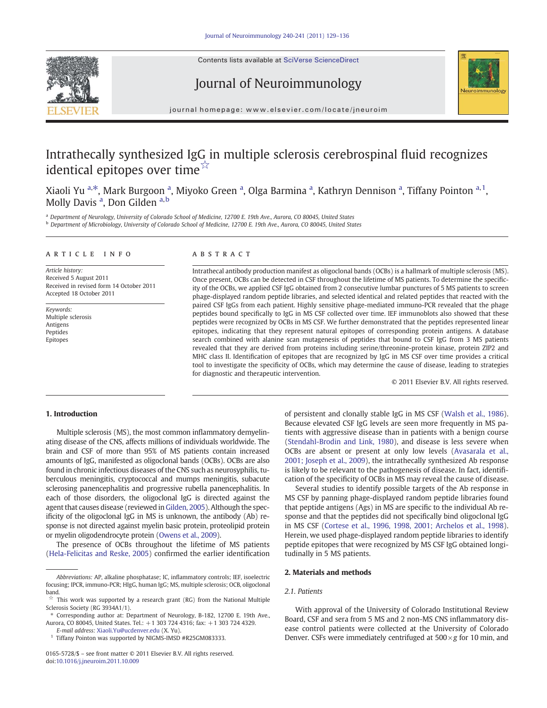Contents lists available at SciVerse ScienceDirect





# Journal of Neuroimmunology

journal homepage: www.elsevier.com/locate/jneuroim

# Intrathecally synthesized IgG in multiple sclerosis cerebrospinal fluid recognizes identical epitopes over time☆

Xiaoli Yu <sup>a,\*</sup>, Mark Burgoon <sup>a</sup>, Miyoko Green <sup>a</sup>, Olga Barmina <sup>a</sup>, Kathryn Dennison <sup>a</sup>, Tiffany Pointon <sup>a, 1</sup>, Molly Davis <sup>a</sup>, Don Gilden <sup>a, b</sup>

a Department of Neurology, University of Colorado School of Medicine, 12700 E. 19th Ave., Aurora, CO 80045, United States <sup>b</sup> Department of Microbiology, University of Colorado School of Medicine, 12700 E. 19th Ave., Aurora, CO 80045, United States

#### article info abstract

Article history: Received 5 August 2011 Received in revised form 14 October 2011 Accepted 18 October 2011

Keywords: Multiple sclerosis Antigens Peptides Epitopes

Intrathecal antibody production manifest as oligoclonal bands (OCBs) is a hallmark of multiple sclerosis (MS). Once present, OCBs can be detected in CSF throughout the lifetime of MS patients. To determine the specificity of the OCBs, we applied CSF IgG obtained from 2 consecutive lumbar punctures of 5 MS patients to screen phage-displayed random peptide libraries, and selected identical and related peptides that reacted with the paired CSF IgGs from each patient. Highly sensitive phage-mediated immuno-PCR revealed that the phage peptides bound specifically to IgG in MS CSF collected over time. IEF immunoblots also showed that these peptides were recognized by OCBs in MS CSF. We further demonstrated that the peptides represented linear epitopes, indicating that they represent natural epitopes of corresponding protein antigens. A database search combined with alanine scan mutagenesis of peptides that bound to CSF IgG from 3 MS patients revealed that they are derived from proteins including serine/threonine-protein kinase, protein ZIP2 and MHC class II. Identification of epitopes that are recognized by IgG in MS CSF over time provides a critical tool to investigate the specificity of OCBs, which may determine the cause of disease, leading to strategies for diagnostic and therapeutic intervention.

© 2011 Elsevier B.V. All rights reserved.

# 1. Introduction

Multiple sclerosis (MS), the most common inflammatory demyelinating disease of the CNS, affects millions of individuals worldwide. The brain and CSF of more than 95% of MS patients contain increased amounts of IgG, manifested as oligoclonal bands (OCBs). OCBs are also found in chronic infectious diseases of the CNS such as neurosyphilis, tuberculous meningitis, cryptococcal and mumps meningitis, subacute sclerosing panencephalitis and progressive rubella panencephalitis. In each of those disorders, the oligoclonal IgG is directed against the agent that causes disease (reviewed in Gilden, 2005). Although the specificity of the oligoclonal IgG in MS is unknown, the antibody (Ab) response is not directed against myelin basic protein, proteolipid protein or myelin oligodendrocyte protein (Owens et al., 2009).

The presence of OCBs throughout the lifetime of MS patients (Hela-Felicitas and Reske, 2005) confirmed the earlier identification

E-mail address: Xiaoli.Yu@ucdenver.edu (X. Yu). <sup>1</sup> Tiffany Pointon was supported by NIGMS-IMSD #R25GM083333. of persistent and clonally stable IgG in MS CSF (Walsh et al., 1986). Because elevated CSF IgG levels are seen more frequently in MS patients with aggressive disease than in patients with a benign course (Stendahl-Brodin and Link, 1980), and disease is less severe when OCBs are absent or present at only low levels (Avasarala et al., 2001; Joseph et al., 2009), the intrathecally synthesized Ab response is likely to be relevant to the pathogenesis of disease. In fact, identification of the specificity of OCBs in MS may reveal the cause of disease.

Several studies to identify possible targets of the Ab response in MS CSF by panning phage-displayed random peptide libraries found that peptide antigens (Ags) in MS are specific to the individual Ab response and that the peptides did not specifically bind oligoclonal IgG in MS CSF (Cortese et al., 1996, 1998, 2001; Archelos et al., 1998). Herein, we used phage-displayed random peptide libraries to identify peptide epitopes that were recognized by MS CSF IgG obtained longitudinally in 5 MS patients.

#### 2. Materials and methods

#### 2.1. Patients

With approval of the University of Colorado Institutional Review Board, CSF and sera from 5 MS and 2 non-MS CNS inflammatory disease control patients were collected at the University of Colorado Denver. CSFs were immediately centrifuged at  $500 \times g$  for 10 min, and

Abbreviations: AP, alkaline phosphatase; IC, inflammatory controls; IEF, isoelectric focusing; IPCR, immuno-PCR; HIgG, human IgG; MS, multiple sclerosis; OCB, oligoclonal band.

This work was supported by a research grant (RG) from the National Multiple Sclerosis Society (RG 3934A1/1).

<sup>⁎</sup> Corresponding author at: Department of Neurology, B-182, 12700 E. 19th Ave., Aurora, CO 80045, United States. Tel.: +1 303 724 4316; fax: +1 303 724 4329.

<sup>0165-5728/\$</sup> – see front matter © 2011 Elsevier B.V. All rights reserved. doi:10.1016/j.jneuroim.2011.10.009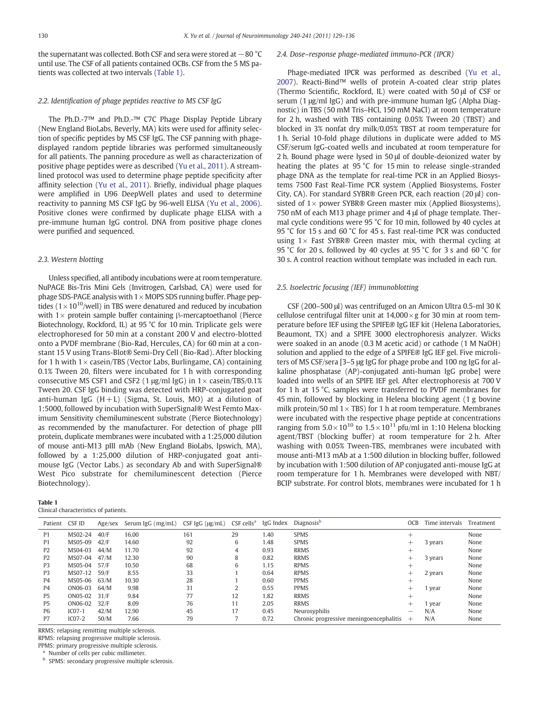the supernatant was collected. Both CSF and sera were stored at −80 °C until use. The CSF of all patients contained OCBs. CSF from the 5 MS patients was collected at two intervals (Table 1).

### 2.2. Identification of phage peptides reactive to MS CSF IgG

The Ph.D.-7™ and Ph.D.-™ C7C Phage Display Peptide Library (New England BioLabs, Beverly, MA) kits were used for affinity selection of specific peptides by MS CSF IgG. The CSF panning with phagedisplayed random peptide libraries was performed simultaneously for all patients. The panning procedure as well as characterization of positive phage peptides were as described (Yu et al., 2011). A streamlined protocol was used to determine phage peptide specificity after affinity selection (Yu et al., 2011). Briefly, individual phage plaques were amplified in U96 DeepWell plates and used to determine reactivity to panning MS CSF IgG by 96-well ELISA (Yu et al., 2006). Positive clones were confirmed by duplicate phage ELISA with a pre-immune human IgG control. DNA from positive phage clones were purified and sequenced.

### 2.3. Western blotting

Unless specified, all antibody incubations were at room temperature. NuPAGE Bis-Tris Mini Gels (Invitrogen, Carlsbad, CA) were used for phage SDS-PAGE analysis with  $1 \times$  MOPS SDS running buffer. Phage peptides ( $1 \times 10^{10}$ /well) in TBS were denatured and reduced by incubation with  $1\times$  protein sample buffer containing β-mercaptoethanol (Pierce Biotechnology, Rockford, IL) at 95 °C for 10 min. Triplicate gels were electrophoresed for 50 min at a constant 200 V and electro-blotted onto a PVDF membrane (Bio-Rad, Hercules, CA) for 60 min at a constant 15 V using Trans-Blot® Semi-Dry Cell (Bio-Rad). After blocking for 1 h with  $1 \times$  casein/TBS (Vector Labs, Burlingame, CA) containing 0.1% Tween 20, filters were incubated for 1 h with corresponding consecutive MS CSF1 and CSF2 (1  $\mu$ g/ml IgG) in 1 × casein/TBS/0.1% Tween 20. CSF IgG binding was detected with HRP-conjugated goat anti-human IgG  $(H + L)$  (Sigma, St. Louis, MO) at a dilution of 1:5000, followed by incubation with SuperSignal® West Femto Maximum Sensitivity chemiluminescent substrate (Pierce Biotechnology) as recommended by the manufacturer. For detection of phage pIII protein, duplicate membranes were incubated with a 1:25,000 dilution of mouse anti-M13 pIII mAb (New England BioLabs, Ipswich, MA), followed by a 1:25,000 dilution of HRP-conjugated goat antimouse IgG (Vector Labs.) as secondary Ab and with SuperSignal® West Pico substrate for chemiluminescent detection (Pierce Biotechnology).

| Clinical characteristics of patients. |  |
|---------------------------------------|--|

Table 1

#### 2.4. Dose–response phage-mediated immuno-PCR (IPCR)

Phage-mediated IPCR was performed as described (Yu et al., 2007). Reacti-Bind™ wells of protein A-coated clear strip plates (Thermo Scientific, Rockford, IL) were coated with 50 μl of CSF or serum (1 μg/ml IgG) and with pre-immune human IgG (Alpha Diagnostic) in TBS (50 mM Tris–HCl, 150 mM NaCl) at room temperature for 2 h, washed with TBS containing 0.05% Tween 20 (TBST) and blocked in 3% nonfat dry milk/0.05% TBST at room temperature for 1 h. Serial 10-fold phage dilutions in duplicate were added to MS CSF/serum IgG-coated wells and incubated at room temperature for 2 h. Bound phage were lysed in 50 μl of double-deionized water by heating the plates at 95 °C for 15 min to release single-stranded phage DNA as the template for real-time PCR in an Applied Biosystems 7500 Fast Real-Time PCR system (Applied Biosystems, Foster City, CA). For standard SYBR® Green PCR, each reaction (20 μl) consisted of  $1\times$  power SYBR® Green master mix (Applied Biosystems), 750 nM of each M13 phage primer and 4 μl of phage template. Thermal cycle conditions were 95 °C for 10 min, followed by 40 cycles at 95 °C for 15 s and 60 °C for 45 s. Fast real-time PCR was conducted using  $1\times$  Fast SYBR® Green master mix, with thermal cycling at 95 °C for 20 s, followed by 40 cycles at 95 °C for 3 s and 60 °C for 30 s. A control reaction without template was included in each run.

#### 2.5. Isoelectric focusing (IEF) immunoblotting

CSF (200–500 μl) was centrifuged on an Amicon Ultra 0.5-ml 30 K cellulose centrifugal filter unit at  $14,000 \times g$  for 30 min at room temperature before IEF using the SPIFE® IgG IEF kit (Helena Laboratories, Beaumont, TX) and a SPIFE 3000 electrophoresis analyzer. Wicks were soaked in an anode (0.3 M acetic acid) or cathode (1 M NaOH) solution and applied to the edge of a SPIFE® IgG IEF gel. Five microliters of MS CSF/sera [3–5 μg IgG for phage probe and 100 ng IgG for alkaline phosphatase (AP)-conjugated anti-human IgG probe] were loaded into wells of an SPIFE IEF gel. After electrophoresis at 700 V for 1 h at 15 °C, samples were transferred to PVDF membranes for 45 min, followed by blocking in Helena blocking agent (1 g bovine milk protein/50 ml  $1 \times TBS$ ) for 1 h at room temperature. Membranes were incubated with the respective phage peptide at concentrations ranging from  $5.0 \times 10^{10}$  to  $1.5 \times 10^{11}$  pfu/ml in 1:10 Helena blocking agent/TBST (blocking buffer) at room temperature for 2 h. After washing with 0.05% Tween-TBS, membranes were incubated with mouse anti-M13 mAb at a 1:500 dilution in blocking buffer, followed by incubation with 1:500 dilution of AP conjugated anti-mouse IgG at room temperature for 1 h. Membranes were developed with NBT/ BCIP substrate. For control blots, membranes were incubated for 1 h

| Patient CSF ID |          | Age/sex | Serum IgG (mg/mL) | CSF IgG (µg/mL) | CSF cells <sup>a</sup> | IgG Index | Diagnosis <sup>b</sup>                  | OCB   | Time intervals Treatment |      |
|----------------|----------|---------|-------------------|-----------------|------------------------|-----------|-----------------------------------------|-------|--------------------------|------|
| P <sub>1</sub> | MS02-24  | 40/F    | 16.00             | 161             | 29                     | 1.40      | <b>SPMS</b>                             | $^+$  |                          | None |
| P <sub>1</sub> | MS05-09  | 42/F    | 14.60             | 92              | b                      | 1.48      | <b>SPMS</b>                             |       | 3 years                  | None |
| P <sub>2</sub> | MS04-03  | 44/M    | 11.70             | 92              | 4                      | 0.93      | <b>RRMS</b>                             |       |                          | None |
| P <sub>2</sub> | MS07-04  | 47/M    | 12.30             | 90              | 8                      | 0.82      | <b>RRMS</b>                             | $^+$  | 3 years                  | None |
| P <sub>3</sub> | MS05-04  | 57/F    | 10.50             | 68              | b                      | 1.15      | <b>RPMS</b>                             | +     |                          | None |
| P3             | MS07-12  | 59/F    | 8.55              | 33              |                        | 0.64      | <b>RPMS</b>                             | $\pm$ | 2 years                  | None |
| P4             | MS05-06  | 63/M    | 10.30             | 28              |                        | 0.60      | <b>PPMS</b>                             |       |                          | None |
| P4             | ON06-03  | 64/M    | 9.98              | 31              |                        | 0.55      | <b>PPMS</b>                             | $\pm$ | 1 year                   | None |
| P <sub>5</sub> | ON05-02  | 31/F    | 9.84              | 77              | 12                     | 1.82      | <b>RRMS</b>                             | $^+$  |                          | None |
| P <sub>5</sub> | ON06-02  | 32/F    | 8.09              | 76              |                        | 2.05      | <b>RRMS</b>                             | $\pm$ | 1 year                   | None |
| P <sub>6</sub> | $ICO7-1$ | 42/M    | 12.90             | 45              | 17                     | 0.45      | Neurosyphilis                           |       | N/A                      | None |
| P7             | $ICO7-2$ | 50/M    | 7.66              | 79              |                        | 0.72      | Chronic progressive meningoencephalitis | $^+$  | N/A                      | None |

RRMS: relapsing remitting multiple sclerosis.

RPMS: relapsing progressive multiple sclerosis.

PPMS: primary progressive multiple sclerosis.

<sup>a</sup> Number of cells per cubic millimeter.

**b** SPMS: secondary progressive multiple sclerosis.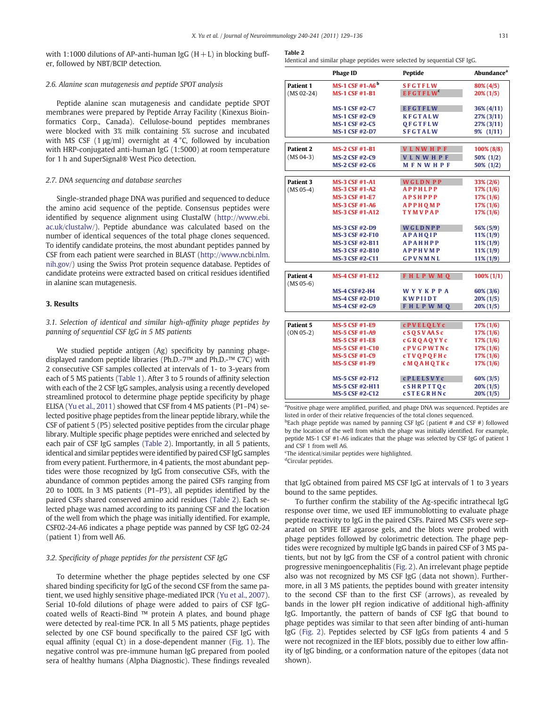with 1:1000 dilutions of AP-anti-human IgG  $(H+L)$  in blocking buffer, followed by NBT/BCIP detection.

## 2.6. Alanine scan mutagenesis and peptide SPOT analysis

Peptide alanine scan mutagenesis and candidate peptide SPOT membranes were prepared by Peptide Array Facility (Kinexus Bioinformatics Corp., Canada). Cellulose-bound peptides membranes were blocked with 3% milk containing 5% sucrose and incubated with MS CSF (1  $\mu$ g/ml) overnight at 4 °C, followed by incubation with HRP-conjugated anti-human IgG (1:5000) at room temperature for 1 h and SuperSignal® West Pico detection.

#### 2.7. DNA sequencing and database searches

Single-stranded phage DNA was purified and sequenced to deduce the amino acid sequence of the peptide. Consensus peptides were identified by sequence alignment using ClustalW (http://www.ebi. ac.uk/clustalw/). Peptide abundance was calculated based on the number of identical sequences of the total phage clones sequenced. To identify candidate proteins, the most abundant peptides panned by CSF from each patient were searched in BLAST (http://www.ncbi.nlm. nih.gov/) using the Swiss Prot protein sequence database. Peptides of candidate proteins were extracted based on critical residues identified in alanine scan mutagenesis.

### 3. Results

# 3.1. Selection of identical and similar high-affinity phage peptides by panning of sequential CSF IgG in 5 MS patients

We studied peptide antigen (Ag) specificity by panning phagedisplayed random peptide libraries (Ph.D.-7™ and Ph.D.-™ C7C) with 2 consecutive CSF samples collected at intervals of 1- to 3-years from each of 5 MS patients (Table 1). After 3 to 5 rounds of affinity selection with each of the 2 CSF IgG samples, analysis using a recently developed streamlined protocol to determine phage peptide specificity by phage ELISA (Yu et al., 2011) showed that CSF from 4 MS patients (P1–P4) selected positive phage peptides from the linear peptide library, while the CSF of patient 5 (P5) selected positive peptides from the circular phage library. Multiple specific phage peptides were enriched and selected by each pair of CSF IgG samples (Table 2). Importantly, in all 5 patients, identical and similar peptides were identified by paired CSF IgG samples from every patient. Furthermore, in 4 patients, the most abundant peptides were those recognized by IgG from consecutive CSFs, with the abundance of common peptides among the paired CSFs ranging from 20 to 100%. In 3 MS patients (P1–P3), all peptides identified by the paired CSFs shared conserved amino acid residues (Table 2). Each selected phage was named according to its panning CSF and the location of the well from which the phage was initially identified. For example, CSF02-24-A6 indicates a phage peptide was panned by CSF IgG 02-24 (patient 1) from well A6.

#### 3.2. Specificity of phage peptides for the persistent CSF IgG

To determine whether the phage peptides selected by one CSF shared binding specificity for IgG of the second CSF from the same patient, we used highly sensitive phage-mediated IPCR (Yu et al., 2007). Serial 10-fold dilutions of phage were added to pairs of CSF IgGcoated wells of Reacti-Bind ™ protein A plates, and bound phage were detected by real-time PCR. In all 5 MS patients, phage peptides selected by one CSF bound specifically to the paired CSF IgG with equal affinity (equal Ct) in a dose-dependent manner (Fig. 1). The negative control was pre-immune human IgG prepared from pooled sera of healthy humans (Alpha Diagnostic). These findings revealed

#### Table 2

Identical and similar phage peptides were selected by sequential CSF IgG.

|                  | <b>Phage ID</b>             | Peptide          | Abundance <sup>a</sup> |
|------------------|-----------------------------|------------------|------------------------|
| <b>Patient 1</b> | MS-1 CSF #1-A6 <sup>b</sup> | <b>SFGTFLW</b>   | 80% (4/5)              |
| $(MS 02-24)$     | <b>MS-1 CSF #1-B1</b>       | <b>EFGTFLW</b>   | $20\%$ (1/5)           |
|                  | <b>MS-1 CSF #2-C7</b>       | <b>EFGTFLW</b>   | 36% (4/11)             |
|                  | <b>MS-1 CSF #2-C9</b>       | <b>KFGTALW</b>   | $27\%$ (3/11)          |
|                  | <b>MS-1 CSF #2-C5</b>       | OFGTFLW          | 27% (3/11)             |
|                  | <b>MS-1 CSF #2-D7</b>       | <b>SFGTALW</b>   | 9% (1/11)              |
| Patient 2        | <b>MS-2 CSF #1-B1</b>       | <b>VLNWHPF</b>   | 100% (8/8)             |
| $(MS 04-3)$      | <b>MS-2 CSF #2-C9</b>       | <b>VLNWHPF</b>   | 50% (1/2)              |
|                  | <b>MS-2 CSF #2-C6</b>       | <b>MFNWHPF</b>   | 50% (1/2)              |
| Patient 3        | <b>MS-3 CSF #1-A1</b>       | <b>WGLDNPP</b>   | 33% (2/6)              |
| $(MS 05-4)$      | <b>MS-3 CSF #1-A2</b>       | <b>APPHLPP</b>   | $17\%$ (1/6)           |
|                  | <b>MS-3 CSF #1-E7</b>       | <b>APSHPPP</b>   | $17\% (1/6)$           |
|                  | <b>MS-3 CSF #1-A6</b>       | <b>APPHOMP</b>   | $17\%$ (1/6)           |
|                  | <b>MS-3 CSF #1-A12</b>      | <b>TYMVPAP</b>   | $17\%$ (1/6)           |
|                  | <b>MS-3 CSF #2-D9</b>       | WGLDNPP          | 56% (5/9)              |
|                  | <b>MS-3 CSF #2-F10</b>      | <b>APAHQIP</b>   | $11\% (1/9)$           |
|                  | <b>MS-3 CSF #2-B11</b>      | <b>APAHHPP</b>   | $11\% (1/9)$           |
|                  | <b>MS-3 CSF #2-B10</b>      | <b>APPHVMP</b>   | $11\% (1/9)$           |
|                  | <b>MS-3 CSF #2-C11</b>      | <b>GPVNMNL</b>   | $11\% (1/9)$           |
| Patient 4        | <b>MS-4 CSF #1-E12</b>      | <b>FHLPWMQ</b>   | $100\% (1/1)$          |
| $(MS 05-6)$      |                             |                  |                        |
|                  | <b>MS-4 CSF#2-H4</b>        | <b>WYYKPPA</b>   | $60\% (3/6)$           |
|                  | <b>MS-4 CSF #2-D10</b>      | <b>KWPIIDT</b>   | $20\% (1/5)$           |
|                  | <b>MS-4 CSF #2-G9</b>       | <b>FHLPWMQ</b>   | $20\% (1/5)$           |
| Patient 5        | <b>MS-5 CSF #1-E9</b>       | <b>cPVELQLYC</b> | $17\%$ (1/6)           |
| $(ON 05-2)$      | <b>MS-5 CSF #1-A9</b>       | <b>cSQSVAASc</b> | 17% (1/6)              |
|                  | <b>MS-5 CSF #1-E8</b>       | <b>cGROAOYYc</b> | $17\%$ (1/6)           |
|                  | <b>MS-5 CSF #1-C10</b>      | <b>cPVGPWTNc</b> | $17\% (1/6)$           |
|                  | <b>MS-5 CSF #1-C9</b>       | <b>cTVQPQFHc</b> | $17\%$ (1/6)           |
|                  | <b>MS-5 CSF #1-F9</b>       | <b>cMOAHOTKc</b> | $17\%$ (1/6)           |
|                  | <b>MS-5 CSF #2-F12</b>      | <b>cPLELSVYC</b> | 60% (3/5)              |
|                  | <b>MS-5 CSF #2-H11</b>      | <b>cSHRPTTOc</b> | $20\% (1/5)$           |
|                  | <b>MS-5 CSF #2-C12</b>      | <b>cSTEGRHNc</b> | $20\% (1/5)$           |

<sup>&</sup>lt;sup>a</sup>Positive phage were amplified, purified, and phage DNA was sequenced. Peptides are listed in order of their relative frequencies of the total clones sequenced.

<sup>b</sup>Each phage peptide was named by panning CSF IgG (patient # and CSF #) followed by the location of the well from which the phage was initially identified. For example, peptide MS-1 CSF #1-A6 indicates that the phage was selected by CSF IgG of patient 1 and CSF 1 from well A6.

<sup>c</sup>The identical/similar peptides were highlighted.

<sup>d</sup>Circular peptides.

that IgG obtained from paired MS CSF IgG at intervals of 1 to 3 years bound to the same peptides.

To further confirm the stability of the Ag-specific intrathecal IgG response over time, we used IEF immunoblotting to evaluate phage peptide reactivity to IgG in the paired CSFs. Paired MS CSFs were separated on SPIFE IEF agarose gels, and the blots were probed with phage peptides followed by colorimetric detection. The phage peptides were recognized by multiple IgG bands in paired CSF of 3 MS patients, but not by IgG from the CSF of a control patient with chronic progressive meningoencephalitis (Fig. 2). An irrelevant phage peptide also was not recognized by MS CSF IgG (data not shown). Furthermore, in all 3 MS patients, the peptides bound with greater intensity to the second CSF than to the first CSF (arrows), as revealed by bands in the lower pH region indicative of additional high-affinity IgG. Importantly, the pattern of bands of CSF IgG that bound to phage peptides was similar to that seen after binding of anti-human IgG (Fig. 2). Peptides selected by CSF IgGs from patients 4 and 5 were not recognized in the IEF blots, possibly due to either low affinity of IgG binding, or a conformation nature of the epitopes (data not shown).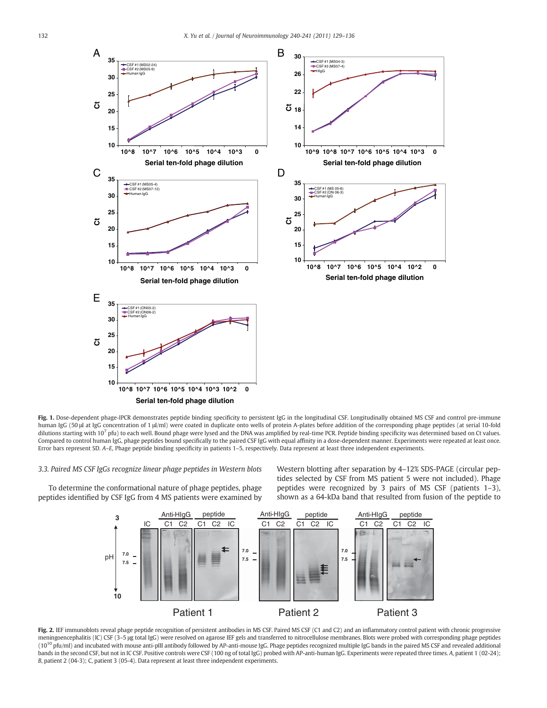

Fig. 1. Dose-dependent phage-IPCR demonstrates peptide binding specificity to persistent IgG in the longitudinal CSF. Longitudinally obtained MS CSF and control pre-immune human IgG (50 μl at IgG concentration of 1 μl/ml) were coated in duplicate onto wells of protein A-plates before addition of the corresponding phage peptides (at serial 10-fold dilutions starting with 10<sup>7</sup> pfu) to each well. Bound phage were lysed and the DNA was amplified by real-time PCR. Peptide binding specificity was determined based on Ct values. Compared to control human IgG, phage peptides bound specifically to the paired CSF IgG with equal affinity in a dose-dependent manner. Experiments were repeated at least once. Error bars represent SD. A–E, Phage peptide binding specificity in patients 1–5, respectively. Data represent at least three independent experiments.

#### 3.3. Paired MS CSF IgGs recognize linear phage peptides in Western blots

To determine the conformational nature of phage peptides, phage peptides identified by CSF IgG from 4 MS patients were examined by Western blotting after separation by 4–12% SDS-PAGE (circular peptides selected by CSF from MS patient 5 were not included). Phage peptides were recognized by 3 pairs of MS CSF (patients 1–3), shown as a 64-kDa band that resulted from fusion of the peptide to



Fig. 2. IEF immunoblots reveal phage peptide recognition of persistent antibodies in MS CSF. Paired MS CSF (C1 and C2) and an inflammatory control patient with chronic progressive meningoencephalitis (IC) CSF (3-5 µg total IgG) were resolved on agarose IEF gels and transferred to nitrocellulose membranes. Blots were probed with corresponding phage peptides (10<sup>10</sup> pfu/ml) and incubated with mouse anti-pIII antibody followed by AP-anti-mouse IgG. Phage peptides recognized multiple IgG bands in the paired MS CSF and revealed additional bands in the second CSF, but not in IC CSF. Positive controls were CSF (100 ng of total IgG) probed with AP-anti-human IgG. Experiments were repeated three times. A, patient 1 (02-24); B, patient 2 (04-3); C, patient 3 (05-4). Data represent at least three independent experiments.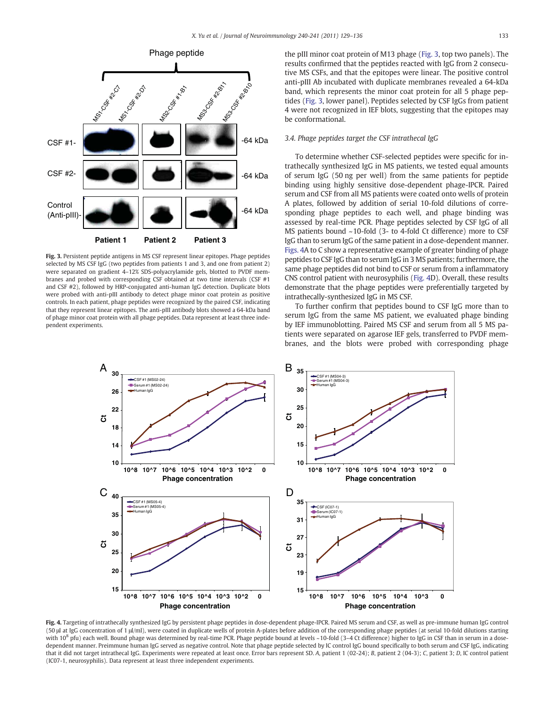

Fig. 3. Persistent peptide antigens in MS CSF represent linear epitopes. Phage peptides selected by MS CSF IgG (two peptides from patients 1 and 3, and one from patient 2) were separated on gradient 4–12% SDS-polyacrylamide gels, blotted to PVDF membranes and probed with corresponding CSF obtained at two time intervals (CSF #1 and CSF #2), followed by HRP-conjugated anti-human IgG detection. Duplicate blots were probed with anti-pIII antibody to detect phage minor coat protein as positive controls. In each patient, phage peptides were recognized by the paired CSF, indicating that they represent linear epitopes. The anti-pIII antibody blots showed a 64-kDa band of phage minor coat protein with all phage peptides. Data represent at least three independent experiments.

the pIII minor coat protein of M13 phage (Fig. 3, top two panels). The results confirmed that the peptides reacted with IgG from 2 consecutive MS CSFs, and that the epitopes were linear. The positive control anti-pIII Ab incubated with duplicate membranes revealed a 64-kDa band, which represents the minor coat protein for all 5 phage peptides (Fig. 3, lower panel). Peptides selected by CSF IgGs from patient 4 were not recognized in IEF blots, suggesting that the epitopes may be conformational.

#### 3.4. Phage peptides target the CSF intrathecal IgG

To determine whether CSF-selected peptides were specific for intrathecally synthesized IgG in MS patients, we tested equal amounts of serum IgG (50 ng per well) from the same patients for peptide binding using highly sensitive dose-dependent phage-IPCR. Paired serum and CSF from all MS patients were coated onto wells of protein A plates, followed by addition of serial 10-fold dilutions of corresponding phage peptides to each well, and phage binding was assessed by real-time PCR. Phage peptides selected by CSF IgG of all MS patients bound ~10-fold (3- to 4-fold Ct difference) more to CSF IgG than to serum IgG of the same patient in a dose-dependent manner. Figs. 4A to C show a representative example of greater binding of phage peptides to CSF IgG than to serum IgG in 3 MS patients; furthermore, the same phage peptides did not bind to CSF or serum from a inflammatory CNS control patient with neurosyphilis (Fig. 4D). Overall, these results demonstrate that the phage peptides were preferentially targeted by intrathecally-synthesized IgG in MS CSF.

To further confirm that peptides bound to CSF IgG more than to serum IgG from the same MS patient, we evaluated phage binding by IEF immunoblotting. Paired MS CSF and serum from all 5 MS patients were separated on agarose IEF gels, transferred to PVDF membranes, and the blots were probed with corresponding phage



Fig. 4. Targeting of intrathecally synthesized IgG by persistent phage peptides in dose-dependent phage-IPCR. Paired MS serum and CSF, as well as pre-immune human IgG control (50 μl at IgG concentration of 1 μl/ml), were coated in duplicate wells of protein A-plates before addition of the corresponding phage peptides (at serial 10-fold dilutions starting with  $10^8$  pfu) each well. Bound phage was determined by real-time PCR. Phage peptide bound at levels ~10-fold (3-4 Ct difference) higher to IgG in CSF than in serum in a dosedependent manner. Preimmune human IgG served as negative control. Note that phage peptide selected by IC control IgG bound specifically to both serum and CSF IgG, indicating that it did not target intrathecal IgG. Experiments were repeated at least once. Error bars represent SD. A, patient 1 (02-24); B, patient 2 (04-3); C, patient 3; D, IC control patient (IC07-1, neurosyphilis). Data represent at least three independent experiments.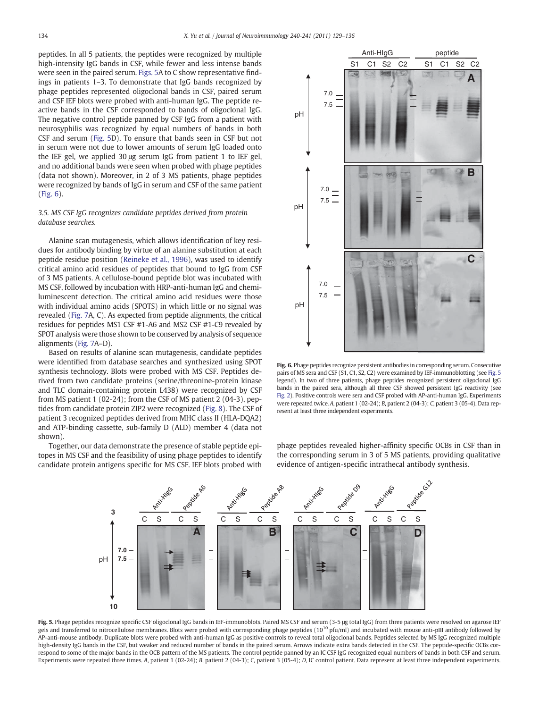peptides. In all 5 patients, the peptides were recognized by multiple high-intensity IgG bands in CSF, while fewer and less intense bands were seen in the paired serum. Figs. 5A to C show representative findings in patients 1–3. To demonstrate that IgG bands recognized by phage peptides represented oligoclonal bands in CSF, paired serum and CSF IEF blots were probed with anti-human IgG. The peptide reactive bands in the CSF corresponded to bands of oligoclonal IgG. The negative control peptide panned by CSF IgG from a patient with neurosyphilis was recognized by equal numbers of bands in both CSF and serum (Fig. 5D). To ensure that bands seen in CSF but not in serum were not due to lower amounts of serum IgG loaded onto the IEF gel, we applied 30 μg serum IgG from patient 1 to IEF gel, and no additional bands were seen when probed with phage peptides (data not shown). Moreover, in 2 of 3 MS patients, phage peptides were recognized by bands of IgG in serum and CSF of the same patient (Fig. 6).

# 3.5. MS CSF IgG recognizes candidate peptides derived from protein database searches.

Alanine scan mutagenesis, which allows identification of key residues for antibody binding by virtue of an alanine substitution at each peptide residue position (Reineke et al., 1996), was used to identify critical amino acid residues of peptides that bound to IgG from CSF of 3 MS patients. A cellulose-bound peptide blot was incubated with MS CSF, followed by incubation with HRP-anti-human IgG and chemiluminescent detection. The critical amino acid residues were those with individual amino acids (SPOTS) in which little or no signal was revealed (Fig. 7A, C). As expected from peptide alignments, the critical residues for peptides MS1 CSF #1-A6 and MS2 CSF #1-C9 revealed by SPOT analysis were those shown to be conserved by analysis of sequence alignments (Fig. 7A–D).

Based on results of alanine scan mutagenesis, candidate peptides were identified from database searches and synthesized using SPOT synthesis technology. Blots were probed with MS CSF. Peptides derived from two candidate proteins (serine/threonine-protein kinase and TLC domain-containing protein L438) were recognized by CSF from MS patient 1 (02-24); from the CSF of MS patient 2 (04-3), peptides from candidate protein ZIP2 were recognized (Fig. 8). The CSF of patient 3 recognized peptides derived from MHC class II (HLA-DQA2) and ATP-binding cassette, sub-family D (ALD) member 4 (data not shown).

Together, our data demonstrate the presence of stable peptide epitopes in MS CSF and the feasibility of using phage peptides to identify candidate protein antigens specific for MS CSF. IEF blots probed with



Fig. 6. Phage peptides recognize persistent antibodies in corresponding serum. Consecutive pairs of MS sera and CSF (S1, C1, S2, C2) were examined by IEF-immunoblotting (see Fig. 5 legend). In two of three patients, phage peptides recognized persistent oligoclonal IgG bands in the paired sera, although all three CSF showed persistent IgG reactivity (see Fig. 2). Positive controls were sera and CSF probed with AP-anti-human IgG. Experiments were repeated twice. A, patient 1 (02-24); B, patient 2 (04-3); C, patient 3 (05-4). Data represent at least three independent experiments.

phage peptides revealed higher-affinity specific OCBs in CSF than in the corresponding serum in 3 of 5 MS patients, providing qualitative evidence of antigen-specific intrathecal antibody synthesis.



Fig. 5. Phage peptides recognize specific CSF oligoclonal IgG bands in IEF-immunoblots. Paired MS CSF and serum (3-5 µg total IgG) from three patients were resolved on agarose IEF gels and transferred to nitrocellulose membranes. Blots were probed with corresponding phage peptides  $(10^{10}$  pfu/ml) and incubated with mouse anti-pIII antibody followed by AP-anti-mouse antibody. Duplicate blots were probed with anti-human IgG as positive controls to reveal total oligoclonal bands. Peptides selected by MS IgG recognized multiple high-density IgG bands in the CSF, but weaker and reduced number of bands in the paired serum. Arrows indicate extra bands detected in the CSF. The peptide-specific OCBs correspond to some of the major bands in the OCB pattern of the MS patients. The control peptide panned by an IC CSF IgG recognized equal numbers of bands in both CSF and serum. Experiments were repeated three times. A, patient 1 (02-24); B, patient 2 (04-3); C, patient 3 (05-4); D, IC control patient. Data represent at least three independent experiments.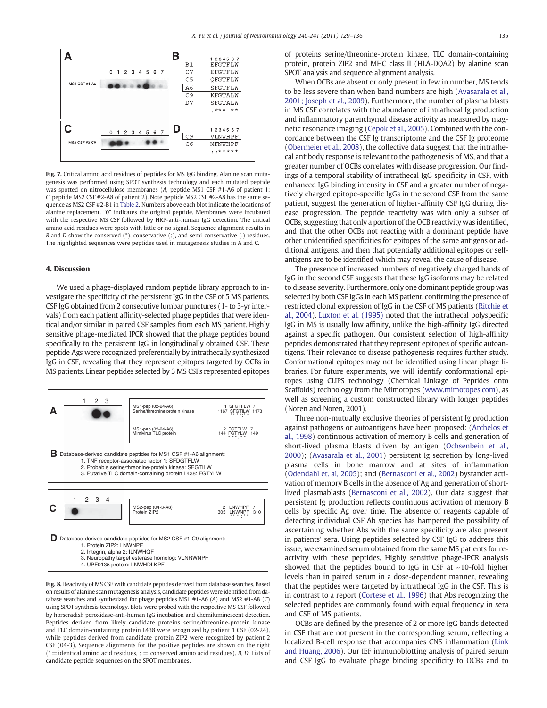

Fig. 7. Critical amino acid residues of peptides for MS IgG binding. Alanine scan mutagenesis was performed using SPOT synthesis technology and each mutated peptide was spotted on nitrocellulose membranes (A, peptide MS1 CSF #1-A6 of patient 1; C, peptide MS2 CSF #2-A8 of patient 2). Note peptide MS2 CSF #2-A8 has the same sequence as MS2 CSF #2-B1 in Table 2. Numbers above each blot indicate the locations of alanine replacement. "0" indicates the original peptide. Membranes were incubated with the respective MS CSF followed by HRP-anti-human IgG detection. The critical amino acid residues were spots with little or no signal. Sequence alignment results in B and D show the conserved  $(*)$ , conservative  $(:)$ , and semi-conservative  $(.)$  residues. The highlighted sequences were peptides used in mutagenesis studies in A and C.

## 4. Discussion

We used a phage-displayed random peptide library approach to investigate the specificity of the persistent IgG in the CSF of 5 MS patients. CSF IgG obtained from 2 consecutive lumbar punctures (1- to 3-yr intervals) from each patient affinity-selected phage peptides that were identical and/or similar in paired CSF samples from each MS patient. Highly sensitive phage-mediated IPCR showed that the phage peptides bound specifically to the persistent IgG in longitudinally obtained CSF. These peptide Ags were recognized preferentially by intrathecally synthesized IgG in CSF, revealing that they represent epitopes targeted by OCBs in MS patients. Linear peptides selected by 3 MS CSFs represented epitopes



Fig. 8. Reactivity of MS CSF with candidate peptides derived from database searches. Based on results of alanine scan mutagenesis analysis, candidate peptides were identified from database searches and synthesized for phage peptides MS1 #1-A6 (A) and MS2 #1-A8 (C) using SPOT synthesis technology. Blots were probed with the respective MS CSF followed by horseradish peroxidase-anti-human IgG incubation and chemiluminescent detection. Peptides derived from likely candidate proteins serine/threonine-protein kinase and TLC domain-containing protein L438 were recognized by patient 1 CSF (02-24), while peptides derived from candidate protein ZIP2 were recognized by patient 2 CSF (04-3). Sequence alignments for the positive peptides are shown on the right  $(* =$ identical amino acid residues, :  $=$  conserved amino acid residues). B, D, Lists of candidate peptide sequences on the SPOT membranes.

of proteins serine/threonine-protein kinase, TLC domain-containing protein, protein ZIP2 and MHC class II (HLA-DQA2) by alanine scan SPOT analysis and sequence alignment analysis.

When OCBs are absent or only present in few in number, MS tends to be less severe than when band numbers are high (Avasarala et al., 2001; Joseph et al., 2009). Furthermore, the number of plasma blasts in MS CSF correlates with the abundance of intrathecal Ig production and inflammatory parenchymal disease activity as measured by magnetic resonance imaging (Cepok et al., 2005). Combined with the concordance between the CSF Ig transcriptome and the CSF Ig proteome (Obermeier et al., 2008), the collective data suggest that the intrathecal antibody response is relevant to the pathogenesis of MS, and that a greater number of OCBs correlates with disease progression. Our findings of a temporal stability of intrathecal IgG specificity in CSF, with enhanced IgG binding intensity in CSF and a greater number of negatively charged epitope-specific IgGs in the second CSF from the same patient, suggest the generation of higher-affinity CSF IgG during disease progression. The peptide reactivity was with only a subset of OCBs, suggesting that only a portion of the OCB reactivity was identified, and that the other OCBs not reacting with a dominant peptide have other unidentified specificities for epitopes of the same antigens or additional antigens, and then that potentially additional epitopes or selfantigens are to be identified which may reveal the cause of disease.

The presence of increased numbers of negatively charged bands of IgG in the second CSF suggests that these IgG isoforms may be related to disease severity. Furthermore, only one dominant peptide group was selected by both CSF IgGs in each MS patient, confirming the presence of restricted clonal expression of IgG in the CSF of MS patients (Ritchie et al., 2004). Luxton et al. (1995) noted that the intrathecal polyspecific IgG in MS is usually low affinity, unlike the high-affinity IgG directed against a specific pathogen. Our consistent selection of high-affinity peptides demonstrated that they represent epitopes of specific autoantigens. Their relevance to disease pathogenesis requires further study. Conformational epitopes may not be identified using linear phage libraries. For future experiments, we will identify conformational epitopes using CLIPS technology (Chemical Linkage of Peptides onto Scaffolds) technology from the Mimotopes (www.mimotopes.com), as well as screening a custom constructed library with longer peptides (Noren and Noren, 2001).

Three non-mutually exclusive theories of persistent Ig production against pathogens or autoantigens have been proposed: (Archelos et al., 1998) continuous activation of memory B cells and generation of short-lived plasma blasts driven by antigen (Ochsenbein et al., 2000); (Avasarala et al., 2001) persistent Ig secretion by long-lived plasma cells in bone marrow and at sites of inflammation (Odendahl et. al, 2005); and (Bernasconi et al., 2002) bystander activation of memory B cells in the absence of Ag and generation of shortlived plasmablasts (Bernasconi et al., 2002). Our data suggest that persistent Ig production reflects continuous activation of memory B cells by specific Ag over time. The absence of reagents capable of detecting individual CSF Ab species has hampered the possibility of ascertaining whether Abs with the same specificity are also present in patients' sera. Using peptides selected by CSF IgG to address this issue, we examined serum obtained from the same MS patients for reactivity with these peptides. Highly sensitive phage-IPCR analysis showed that the peptides bound to IgG in CSF at  $~10$ -fold higher levels than in paired serum in a dose-dependent manner, revealing that the peptides were targeted by intrathecal IgG in the CSF. This is in contrast to a report (Cortese et al., 1996) that Abs recognizing the selected peptides are commonly found with equal frequency in sera and CSF of MS patients.

OCBs are defined by the presence of 2 or more IgG bands detected in CSF that are not present in the corresponding serum, reflecting a localized B-cell response that accompanies CNS inflammation (Link and Huang, 2006). Our IEF immunoblotting analysis of paired serum and CSF IgG to evaluate phage binding specificity to OCBs and to